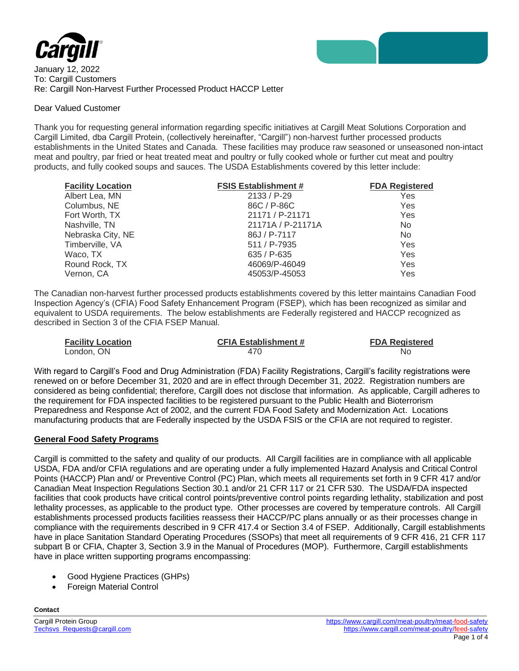



January 12, 2022 To: Cargill Customers Re: Cargill Non-Harvest Further Processed Product HACCP Letter

### Dear Valued Customer

Thank you for requesting general information regarding specific initiatives at Cargill Meat Solutions Corporation and Cargill Limited, dba Cargill Protein, (collectively hereinafter, "Cargill") non-harvest further processed products establishments in the United States and Canada. These facilities may produce raw seasoned or unseasoned non-intact meat and poultry, par fried or heat treated meat and poultry or fully cooked whole or further cut meat and poultry products, and fully cooked soups and sauces. The USDA Establishments covered by this letter include:

| <b>Facility Location</b> | <b>FSIS Establishment #</b> | <b>FDA Registered</b> |
|--------------------------|-----------------------------|-----------------------|
| Albert Lea, MN           | 2133 / P-29                 | Yes                   |
| Columbus, NE             | 86C / P-86C                 | Yes                   |
| Fort Worth, TX           | 21171 / P-21171             | Yes                   |
| Nashville, TN            | 21171A / P-21171A           | <b>No</b>             |
| Nebraska City, NE        | 86J / P-7117                | <b>No</b>             |
| Timberville, VA          | 511 / P-7935                | Yes                   |
| Waco, TX                 | 635 / P-635                 | Yes                   |
| Round Rock, TX           | 46069/P-46049               | Yes                   |
| Vernon, CA               | 45053/P-45053               | Yes                   |

The Canadian non-harvest further processed products establishments covered by this letter maintains Canadian Food Inspection Agency's (CFIA) Food Safety Enhancement Program (FSEP), which has been recognized as similar and equivalent to USDA requirements. The below establishments are Federally registered and HACCP recognized as described in Section 3 of the CFIA FSEP Manual.

| <b>Facility Location</b> | <b>CFIA Establishment #</b> | <b>FDA Registered</b> |
|--------------------------|-----------------------------|-----------------------|
| London, ON               | 470                         | No                    |

With regard to Cargill's Food and Drug Administration (FDA) Facility Registrations, Cargill's facility registrations were renewed on or before December 31, 2020 and are in effect through December 31, 2022. Registration numbers are considered as being confidential; therefore, Cargill does not disclose that information. As applicable, Cargill adheres to the requirement for FDA inspected facilities to be registered pursuant to the Public Health and Bioterrorism Preparedness and Response Act of 2002, and the current FDA Food Safety and Modernization Act. Locations manufacturing products that are Federally inspected by the USDA FSIS or the CFIA are not required to register.

# **General Food Safety Programs**

Cargill is committed to the safety and quality of our products. All Cargill facilities are in compliance with all applicable USDA, FDA and/or CFIA regulations and are operating under a fully implemented Hazard Analysis and Critical Control Points (HACCP) Plan and/ or Preventive Control (PC) Plan, which meets all requirements set forth in 9 CFR 417 and/or Canadian Meat Inspection Regulations Section 30.1 and/or 21 CFR 117 or 21 CFR 530. The USDA/FDA inspected facilities that cook products have critical control points/preventive control points regarding lethality, stabilization and post lethality processes, as applicable to the product type. Other processes are covered by temperature controls. All Cargill establishments processed products facilities reassess their HACCP/PC plans annually or as their processes change in compliance with the requirements described in 9 CFR 417.4 or Section 3.4 of FSEP. Additionally, Cargill establishments have in place Sanitation Standard Operating Procedures (SSOPs) that meet all requirements of 9 CFR 416, 21 CFR 117 subpart B or CFIA, Chapter 3, Section 3.9 in the Manual of Procedures (MOP). Furthermore, Cargill establishments have in place written supporting programs encompassing:

- Good Hygiene Practices (GHPs)
- Foreign Material Control

**Contact**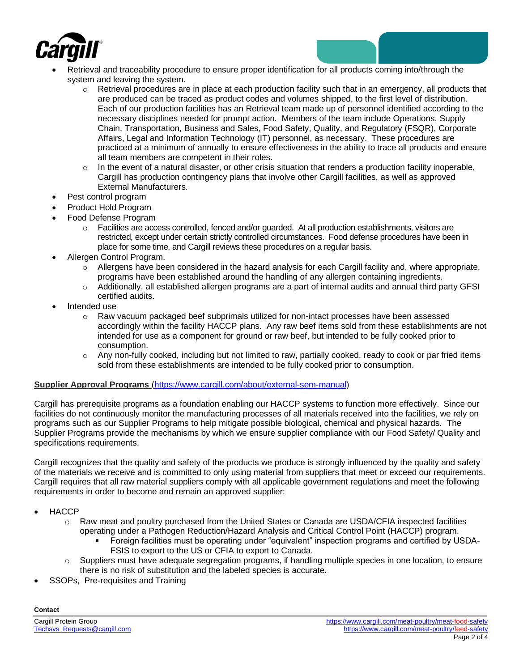

- Retrieval and traceability procedure to ensure proper identification for all products coming into/through the system and leaving the system.
	- $\circ$  Retrieval procedures are in place at each production facility such that in an emergency, all products that are produced can be traced as product codes and volumes shipped, to the first level of distribution. Each of our production facilities has an Retrieval team made up of personnel identified according to the necessary disciplines needed for prompt action. Members of the team include Operations, Supply Chain, Transportation, Business and Sales, Food Safety, Quality, and Regulatory (FSQR), Corporate Affairs, Legal and Information Technology (IT) personnel, as necessary. These procedures are practiced at a minimum of annually to ensure effectiveness in the ability to trace all products and ensure all team members are competent in their roles.
	- In the event of a natural disaster, or other crisis situation that renders a production facility inoperable, Cargill has production contingency plans that involve other Cargill facilities, as well as approved External Manufacturers.
- Pest control program
- Product Hold Program
- Food Defense Program
	- o Facilities are access controlled, fenced and/or guarded. At all production establishments, visitors are restricted, except under certain strictly controlled circumstances. Food defense procedures have been in place for some time, and Cargill reviews these procedures on a regular basis.
- Allergen Control Program.
	- $\circ$  Allergens have been considered in the hazard analysis for each Cargill facility and, where appropriate, programs have been established around the handling of any allergen containing ingredients.
	- $\circ$  Additionally, all established allergen programs are a part of internal audits and annual third party GFSI certified audits.
- Intended use
	- o Raw vacuum packaged beef subprimals utilized for non-intact processes have been assessed accordingly within the facility HACCP plans. Any raw beef items sold from these establishments are not intended for use as a component for ground or raw beef, but intended to be fully cooked prior to consumption.
	- $\circ$  Any non-fully cooked, including but not limited to raw, partially cooked, ready to cook or par fried items sold from these establishments are intended to be fully cooked prior to consumption.

### **Supplier Approval Programs** [\(https://www.cargill.com/about/external-sem-manual\)](https://www.cargill.com/about/external-sem-manual)

Cargill has prerequisite programs as a foundation enabling our HACCP systems to function more effectively. Since our facilities do not continuously monitor the manufacturing processes of all materials received into the facilities, we rely on programs such as our Supplier Programs to help mitigate possible biological, chemical and physical hazards. The Supplier Programs provide the mechanisms by which we ensure supplier compliance with our Food Safety/ Quality and specifications requirements.

Cargill recognizes that the quality and safety of the products we produce is strongly influenced by the quality and safety of the materials we receive and is committed to only using material from suppliers that meet or exceed our requirements. Cargill requires that all raw material suppliers comply with all applicable government regulations and meet the following requirements in order to become and remain an approved supplier:

**HACCP** 

**Contact**

- o Raw meat and poultry purchased from the United States or Canada are USDA/CFIA inspected facilities operating under a Pathogen Reduction/Hazard Analysis and Critical Control Point (HACCP) program.
	- Foreign facilities must be operating under "equivalent" inspection programs and certified by USDA-FSIS to export to the US or CFIA to export to Canada.
- Suppliers must have adequate segregation programs, if handling multiple species in one location, to ensure there is no risk of substitution and the labeled species is accurate.
- SSOPs, Pre-requisites and Training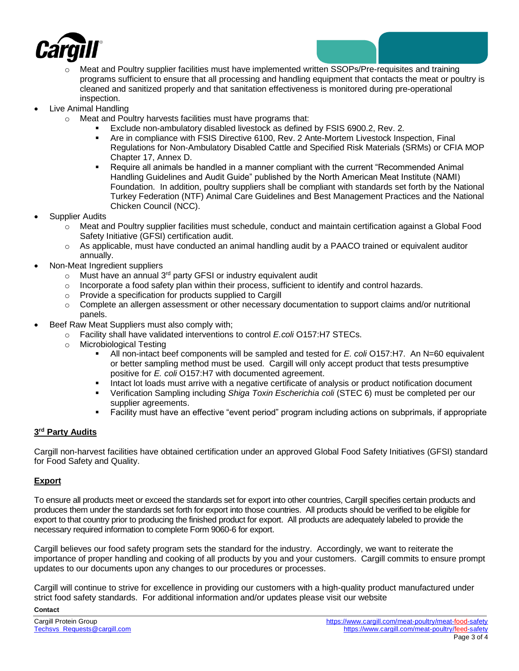

- Meat and Poultry supplier facilities must have implemented written SSOPs/Pre-requisites and training programs sufficient to ensure that all processing and handling equipment that contacts the meat or poultry is cleaned and sanitized properly and that sanitation effectiveness is monitored during pre-operational inspection.
- Live Animal Handling
	- o Meat and Poultry harvests facilities must have programs that:
		- Exclude non-ambulatory disabled livestock as defined by FSIS 6900.2, Rev. 2.
		- Are in compliance with FSIS Directive 6100, Rev. 2 Ante-Mortem Livestock Inspection, Final Regulations for Non-Ambulatory Disabled Cattle and Specified Risk Materials (SRMs) or CFIA MOP Chapter 17, Annex D.
		- Require all animals be handled in a manner compliant with the current "Recommended Animal Handling Guidelines and Audit Guide" published by the North American Meat Institute (NAMI) Foundation. In addition, poultry suppliers shall be compliant with standards set forth by the National Turkey Federation (NTF) Animal Care Guidelines and Best Management Practices and the National Chicken Council (NCC).
- Supplier Audits
	- o Meat and Poultry supplier facilities must schedule, conduct and maintain certification against a Global Food Safety Initiative (GFSI) certification audit.
	- $\circ$  As applicable, must have conducted an animal handling audit by a PAACO trained or equivalent auditor annually.
- Non-Meat Ingredient suppliers
	- $\circ$  Must have an annual 3<sup>rd</sup> party GFSI or industry equivalent audit
	- $\circ$  Incorporate a food safety plan within their process, sufficient to identify and control hazards.
	- o Provide a specification for products supplied to Cargill
	- $\circ$  Complete an allergen assessment or other necessary documentation to support claims and/or nutritional panels.
- Beef Raw Meat Suppliers must also comply with;
	- o Facility shall have validated interventions to control *E.coli* O157:H7 STECs.
	- o Microbiological Testing
		- All non-intact beef components will be sampled and tested for *E. coli* O157:H7. An N=60 equivalent or better sampling method must be used. Cargill will only accept product that tests presumptive positive for *E. coli* O157:H7 with documented agreement.
		- **■** Intact lot loads must arrive with a negative certificate of analysis or product notification document
		- Verification Sampling including *Shiga Toxin Escherichia coli* (STEC 6) must be completed per our supplier agreements.
		- Facility must have an effective "event period" program including actions on subprimals, if appropriate

# **3 rd Party Audits**

Cargill non-harvest facilities have obtained certification under an approved Global Food Safety Initiatives (GFSI) standard for Food Safety and Quality.

# **Export**

To ensure all products meet or exceed the standards set for export into other countries, Cargill specifies certain products and produces them under the standards set forth for export into those countries. All products should be verified to be eligible for export to that country prior to producing the finished product for export. All products are adequately labeled to provide the necessary required information to complete Form 9060-6 for export.

Cargill believes our food safety program sets the standard for the industry. Accordingly, we want to reiterate the importance of proper handling and cooking of all products by you and your customers. Cargill commits to ensure prompt updates to our documents upon any changes to our procedures or processes.

Cargill will continue to strive for excellence in providing our customers with a high-quality product manufactured under strict food safety standards. For additional information and/or updates please visit our website